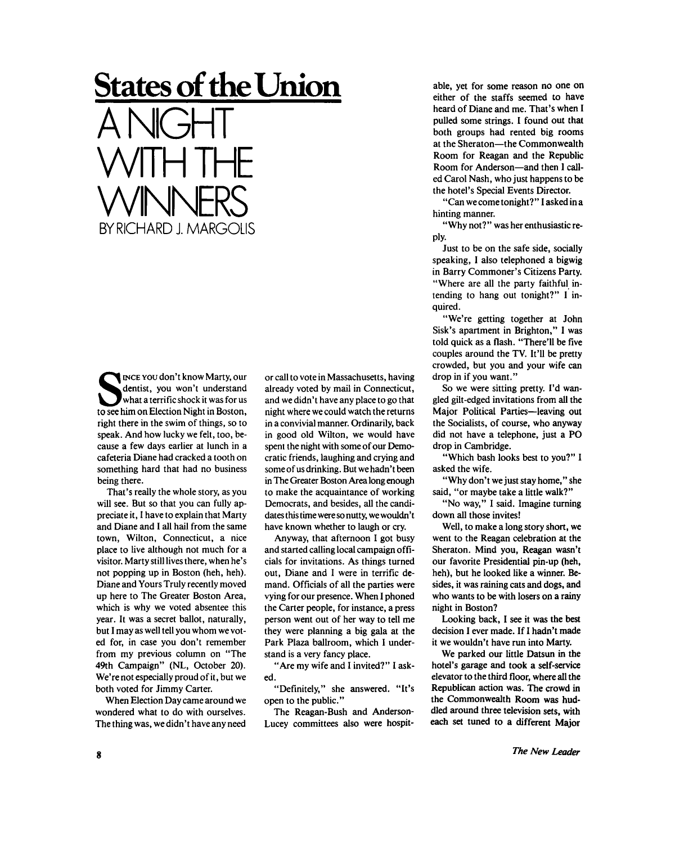## **States of the Union**

A NIGHT WITH THE WINNERS BY RICHARD J. MARGOLIS

**S** INCE YOU don't know Marty, our dentist, you won't understand what a terrific shock it was for us to see him on Election Night in Boston, INCE YOU don't know Marty, our dentist, you won't understand what a terrific shock it was for us right there in the swim of things, so to speak. And how lucky we felt, too, because a few days earlier at lunch in a cafeteria Diane had cracked a tooth on something hard that had no business being there.

That's really the whole story, as you will see. But so that you can fully appreciate it, I have to explain that Marty and Diane and I all hail from the same town, Wilton, Connecticut, a nice place to live although not much for a visitor. Marty still lives there, when he's not popping up in Boston (heh, heh). Diane and Yours Truly recently moved up here to The Greater Boston Area, which is why we voted absentee this year. It was a secret ballot, naturally, but I may as well tell you whom we voted for, in case you don't remember from my previous column on "The 49th Campaign" (NL, October 20). We're not especially proud of it, but we both voted for Jimmy Carter.

When Election Day came around we wondered what to do with ourselves. The thing was, we didn't have any need or call to vote in Massachusetts, having already voted by mail in Connecticut, and we didn't have any place to go that night where we could watch the returns in a convivial manner. Ordinarily, back in good old Wilton, we would have spent the night with some of our Democratic friends, laughing and crying and some of us drinking. But we hadn't been in The Greater Boston Area long enough to make the acquaintance of working Democrats, and besides, all the candidates this time were so nutty, we wouldn't have known whether to laugh or cry.

Anyway, that afternoon I got busy and started calling local campaign officials for invitations. As things turned out, Diane and I were in terrific demand. Officials of all the parties were vying for our presence. When I phoned the Carter people, for instance, a press person went out of her way to tell me they were planning a big gala at the Park Plaza ballroom, which I understand is a very fancy place.

"Are my wife and I invited?" I asked.

"Definitely," she answered. "It's open to the public."

The Reagan-Bush and Anderson-Lucey committees also were hospit-

able, yet for some reason no one on either of the staffs seemed to have heard of Diane and me. That's when I pulled some strings. I found out that both groups had rented big rooms at the Sheraton—the Commonwealth Room for Reagan and the Republic Room for Anderson—and then I called Carol Nash, who just happens to be the hotel's Special Events Director.

" Can we come tonight? " I asked in a hinting manner.

"Why not?" was her enthusiastic reply.

Just to be on the safe side, socially speaking, I also telephoned a bigwig in Barry Commoner's Citizens Party. "Where are all the party faithful intending to hang out tonight?" I inquired.

"We're getting together at John Sisk's apartment in Brighton," I was told quick as a flash. "There'll be five couples around the TV. It'll be pretty crowded, but you and your wife can drop in if you want."

So we were sitting pretty. I'd wangled gilt-edged invitations from all the Major Political Parties—leaving out the Socialists, of course, who anyway did not have a telephone, just a PO drop in Cambridge.

"Which bash looks best to you?" I asked the wife.

"Why don't we just stay home," she said, "or maybe take a little walk?"

"No way," I said. Imagine turning down all those invites!

Well, to make a long story short, we went to the Reagan celebration at the Sheraton. Mind you, Reagan wasn't our favorite Presidential pin-up (heh, heh), but he looked like a winner. Besides, it was raining cats and dogs, and who wants to be with losers on a rainy night in Boston?

Looking back, I see it was the best decision I ever made. If I hadn't made it we wouldn't have run into Marty.

We parked our little Datsun in the hotel's garage and took a self-service elevator to the third floor, where all the Republican action was. The crowd in the Commonwealth Room was huddled around three television sets, with each set tuned to a different Major